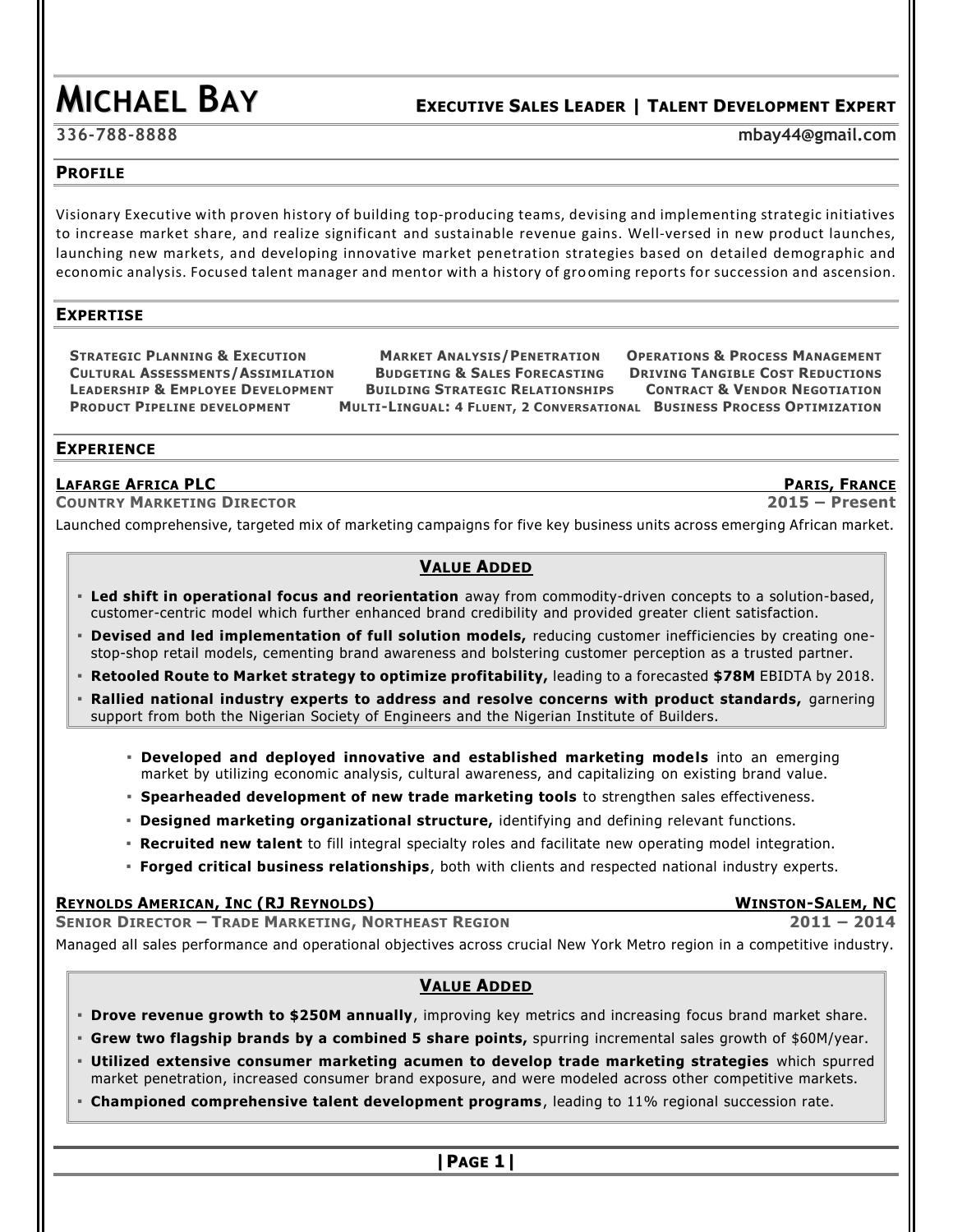# **MICHAEL BAY <sup>E</sup>XECUTIVE <sup>S</sup>ALES <sup>L</sup>EADER <sup>|</sup> <sup>T</sup>ALENT <sup>D</sup>EVELOPMENT <sup>E</sup>XPERT**

**336-788-8888 [mbay44@gmail.com](mailto:mbay44@gmail.com)**

# **PROFILE**

Visionary Executive with proven history of building top-producing teams, devising and implementing strategic initiatives to increase market share, and realize significant and sustainable revenue gains. Well-versed in new product launches, launching new markets, and developing innovative market penetration strategies based on detailed demographic and economic analysis. Focused talent manager and mentor with a history of grooming reports for succession and ascension.

# **EXPERTISE**

STRATEGIC PLANNING & EXECUTION MARKET ANALYSIS/PENETRATION OPERATIONS & PROCESS MANAGEMENT CULTURAL ASSESSMENTS/ASSIMILATION BUDGETING & SALES FORECASTING DRIVING TANGIBLE COST REDUCTIONS LEADERSHIP & EMPLOYEE DEVELOPMENT BUILDING STRATEGIC RELATIONSHIPS CONTRACT & VENDOR NEGOTIATION PRODUCT PIPELINE DEVELOPMENT MULTI-LINGUAL: 4 FLUENT, 2 CONVERSATIONAL BUSINESS PROCESS OPTIMIZATION

# **EXPERIENCE**

# **LAFARGE AFRICA PLC PARIS, FRANCE**

**COUNTRY MARKETING DIRECTOR 2015 – Present**

Launched comprehensive, targeted mix of marketing campaigns for five key business units across emerging African market.

# **VALUE ADDED**

- **Led shift in operational focus and reorientation** away from commodity-driven concepts to a solution-based, customer-centric model which further enhanced brand credibility and provided greater client satisfaction.
- **Devised and led implementation of full solution models,** reducing customer inefficiencies by creating onestop-shop retail models, cementing brand awareness and bolstering customer perception as a trusted partner.
- **Retooled Route to Market strategy to optimize profitability,** leading to a forecasted **\$78M** EBIDTA by 2018.
- **Rallied national industry experts to address and resolve concerns with product standards, garnering** support from both the Nigerian Society of Engineers and the Nigerian Institute of Builders.
	- **Developed and deployed innovative and established marketing models** into an emerging market by utilizing economic analysis, cultural awareness, and capitalizing on existing brand value.
	- **Spearheaded development of new trade marketing tools** to strengthen sales effectiveness.
	- **Designed marketing organizational structure,** identifying and defining relevant functions.
	- **Recruited new talent** to fill integral specialty roles and facilitate new operating model integration.
	- **Forged critical business relationships**, both with clients and respected national industry experts.

# **REYNOLDS AMERICAN, INC (RJ REYNOLDS) WINSTON-SALEM, NC**

**SENIOR DIRECTOR – TRADE MARKETING, NORTHEAST REGION 2011 – 2014** Managed all sales performance and operational objectives across crucial New York Metro region in a competitive industry.

# **VALUE ADDED**

- **Drove revenue growth to \$250M annually**, improving key metrics and increasing focus brand market share.
- **Grew two flagship brands by a combined 5 share points,** spurring incremental sales growth of \$60M/year.
- **Utilized extensive consumer marketing acumen to develop trade marketing strategies** which spurred market penetration, increased consumer brand exposure, and were modeled across other competitive markets.
- **Championed comprehensive talent development programs**, leading to 11% regional succession rate.